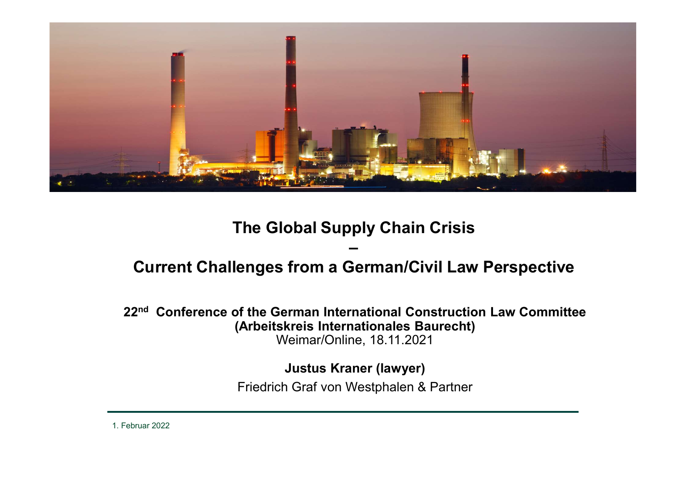

22<sup>nd</sup> Conference of the German International Construction Law Committee (Arbeitskreis Internationales Baurecht) Weimar/Online, 18.11.2021

Justus Kraner (lawyer)

Friedrich Graf von Westphalen & Partner

1. Februar 2022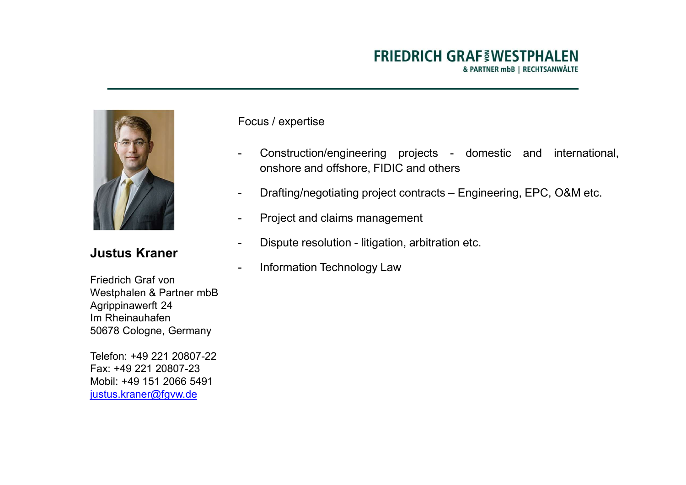

Friedrich Graf von Westphalen & Partner mbB Agrippinawerft 24 Im Rheinauhafen 50678 Cologne, Germany

Telefon: +49 221 20807-22 Fax: +49 221 20807-23 Mobil: +49 151 2066 5491 justus.kraner@fgvw.de

Focus / expertise

- FRIEDRICH GRAF WESTPHALEN<br>
APARTNER mbB | RECHTSANWÄLTE<br>
Focus / expertise<br>
 Construction/engineering projects domestic and international,<br>
onshore and offshore, FIDIC and others<br>
 Drafting/negotiating project contract FRIEDRICH GRAF INTERTIPHALEN<br>
APARTMER mbB | RECHTSANWÄLTE<br>
US / expertise<br>
Construction/engineering projects - domestic and international,<br>
onshore and offshore, FIDIC and others<br>
Drafting/negotiating project contracts — FRIEDRICH GRAF **§WESTPHALEN**<br>
EPOCUS / expertise<br>
- Construction/engineering projects - domestic and international,<br>
onshore and offshore, FIDIC and others<br>
- Drafting/negotiating project contracts – Engineering, EPC, O&M FRIEDRICH GRAF WESTPHALEN<br>
A PARTNER mbB | RECHTSANWÄLTE<br>
Focus / expertise<br>
- Construction/engineering projects - domestic and international,<br>
onshore and offshore, FIDIC and others<br>
- Drafting/negotiating project contrac FRIEDRICH GRAF WESTPHALEN<br>
A PARTNER mbB | RECHTSANWAITE<br>
Focus / expertise<br>
- Construction/engineering projects - domestic and international,<br>
onshore and offshore, FIDIC and others<br>
- Drafting/negotiating project contrac FINEDINICH GINAF SWESTIFIALEN<br>
EPARTIVER mbB | RECHTSANWÄLTE<br>
Focus / expertise<br>
- Construction/engineering projects - domestic and international,<br>
onshore and offshore, FIDIC and others<br>
- Drafting/negotiating project con
- 
- 
- Justus Kraner Dispute resolution litigation, arbitration etc.
	-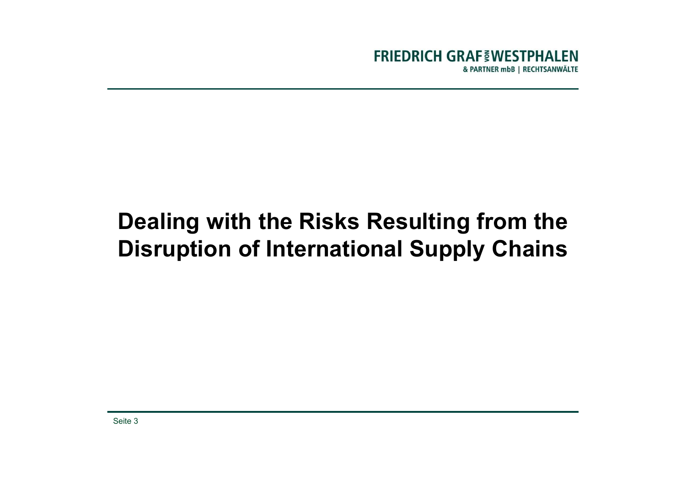# Dealing with the Risks Resulting from the Disruption of International Supply Chains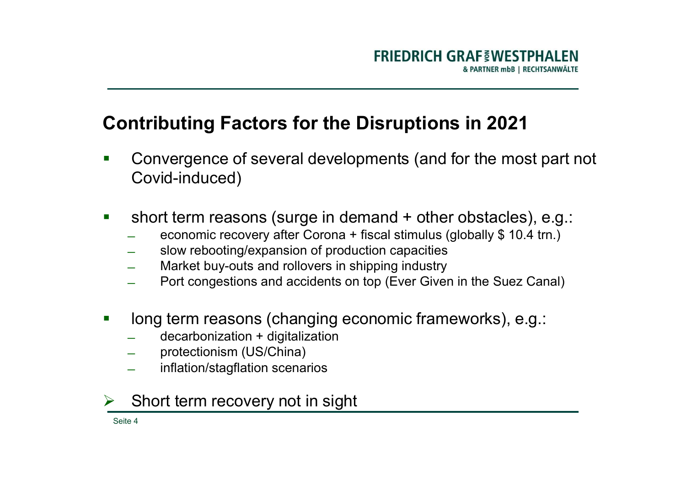- FRIEDRICH GRAF INESTPHALEN<br>

Contributing Factors for the Disruptions in 2021<br>
 Convergence of several developments (and for the most part not<br>
Covid-induced) FRIEDRICH GRAF INESTPHALEN Covid-induced) FRIEDRICH GRAF WESTPHALEN<br>
Contributing Factors for the Disruptions in 2021<br>
Convergence of several developments (and for the most part not<br>
Covid-induced)<br>
• short term reasons (surge in demand + other obstacles), e.g.:<br> **Contributing Factors for the Disruptions in 2021**<br>
■ Convergence of several developments (and for the most part not Covid-induced)<br>
■ short term reasons (surge in demand + other obstacles), e.g.:<br>
— seconomic recovery a
- short term reasons (surge in demand + other obstacles), e<br>
acconomic recovery after Corona + fiscal stimulus (globally \$ 10.4 tr<br>
Sow rebooting/expansion of production capacities<br>
 Market buy-outs and rollovers in ship
	-
	-
	-
	-
- -
	-
	-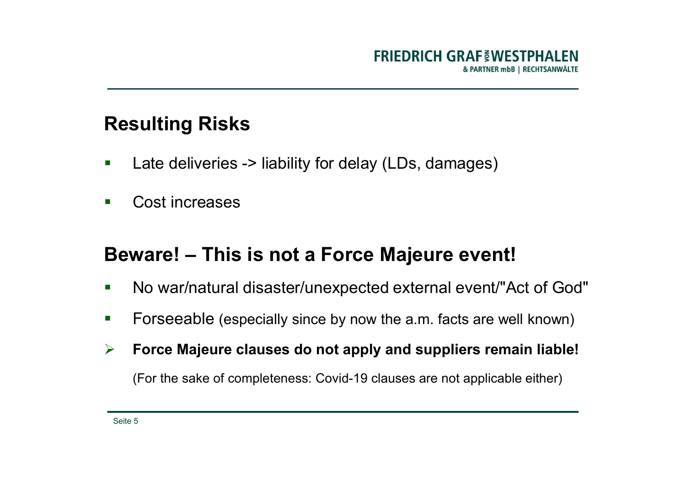- FRIEDRICH GR<br>A<br>Resulting Risks<br>Fries -> liability for delay (LDs, dama<br>A<br>Late deliveries -> liability for delay (LDs, dama FRIEDRICH GRAF INESTPHALEN<br>
A PARTNER mbb | RECHTSANWÄLTE<br>
Resulting Risks<br>
Late deliveries -> liability for delay (LDs, damages)<br>
Cost increases FRIEDRICH<br>
Resulting Risks<br>
Late deliveries -> liability for delay (LDs, da<br>
Cost increases<br>
Rewarel – This is not a Force Maieur
- 

# FRIEDRICH GRAF INTESTPHALEN<br>
Resulting Risks<br>
Late deliveries -> liability for delay (LDs, damages)<br>
Beware! – This is not a Force Majeure event!<br>
No war/natural disaster/unexpected external event!"Act of God" Resulting Risks<br>
• Late deliveries -> liability for delay (LDs, damages)<br>
• Cost increases<br>
Beware! – This is not a Force Majeure event!<br>
• No war/natural disaster/unexpected external event/"Act of God"<br>
• Forseeable (espe Formular Solutions and the alliest CDS, damages<br>
For Late deliveries -> liability for delay (LDs, damages)<br>
Forseeable (especially since by now the a.m. facts are well known)<br>
Forseeable (especially since by now the a.m. For Late deliveries -> liability for delay (LDs, damages)<br>
Force Majeure event!<br>
Force Majeure event!<br>
Force Majeure clauses do not apply and suppliers remain liable!<br>
Force Majeure clauses do not apply and suppliers rema Cost increases<br>
ware! — This is not a Force Majeure event!<br>
No war/natural disaster/unexpected external event/"Act of God"<br>
Forseeable (especially since by now the a.m. facts are well known)<br>
Force Majeure clauses do not a

- 
- 
-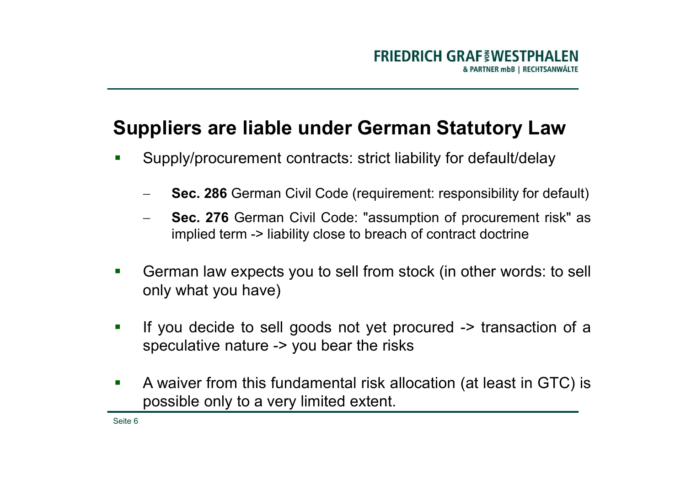# FRIEDRICH GRAF FWESTPHALEN<br>Suppliers are liable under German Statutory Law<br>Supply/procurement contracts: strict liability for default/delay

- -
- **Suppliers are liable under German Statutory Law Suppliers are liable under German Statutory Law Supply/procurement contracts: strict liability for default/delay Sec. 286 German Civil Code (requirement: responsibility fo** FRIEDRICH GRAF WESTPHALEN<br> **interaction of the Contract Statutory Law**<br>
ply/procurement contracts: strict liability for default/delay<br> **Sec. 286** German Civil Code (requirement: responsibility for default)<br> **Sec. 276** Germ
- Suppliers are liable under German Statutory Law<br>
Supply/procurement contracts: strict liability for default/delay<br>
 Sec. 286 German Civil Code (requirement: responsibility for default)<br>
 Sec. 276 German Civil Code: "assu **Supply/procurement contracts: strict liability for defaultion**<br>Supply/procurement contracts: strict liability for defaultion<br>- Sec. 286 German Civil Code (requirement: responsibility<br>- Sec. 276 German Civil Code: "assumpt
- **Suppliers are liable under German Statutory Law**<br>
I Supply/procurement contracts: strict liability for default/delay<br>
I Sec. 286 German Civil Code (requirement responsibility for default)<br>
I Sec. 276 German Civil Code: "a Supply/procurement contracts: strict liability for default/delay<br>
- Sec. 286 German Civil Code (requirement: responsibility for default)<br>
- Sec. 276 German Civil Code: "assumption of procurement risk" as<br>
implied term -> l - **Sec. 286** German Civil Code (requirement: responsibility for default)<br>
- **Sec. 276** German Civil Code: "assumption of procurement risk" as<br>
implied term -> liability close to breach of contract doctrine<br>
- German law e Sec. 286 German Civil Code (requirement: responsibility for default)<br>
Sec. 276 German Civil Code: "assumption of procurement risk" as<br>
implied term -> liability close to breach of contract doctrine<br>
German law expects you
-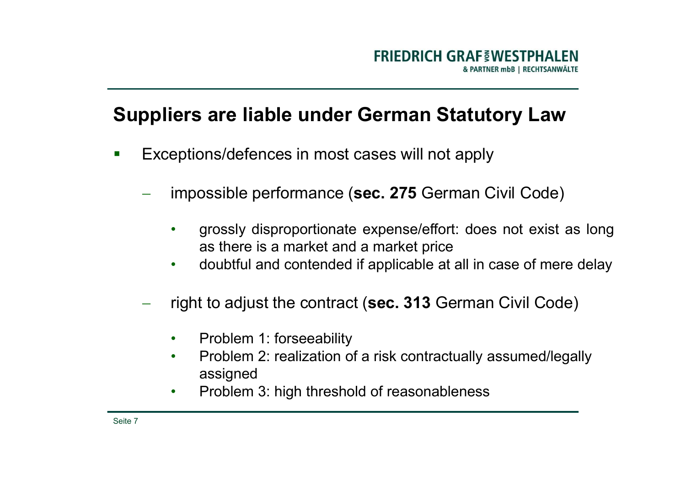# FRIEDRICH GRAF VESTPHALEN<br>Suppliers are liable under German Statutory Law<br>Exceptions/defences in most cases will not apply ERIEDRICH GRAF WESTPHALEN<br>
Suppliers are liable under German Statutory Law<br>
Exceptions/defences in most cases will not apply<br>
- impossible performance (sec. 275 German Civil Code)

- -
- **FRIEDRICH GRAF EWESTPHALEN**<br> **EXPREMELTING A FARTINER TO BECHTSANWALTE**<br> **EXPREMELTING A FORMALTE**<br> **EXPREMELTING A FORMALTE**<br> **EXPREMELTING A FORMALTE**<br> **EXPREMELTING A FORMALTE PORTION CORECTS**<br> **EXPREMELTING A FORMALTE** FRIEDRICH GRAF INDESTPHALEN<br> **a reliable under German Statutory Law**<br>
pons/defences in most cases will not apply<br>
possible performance (sec. 275 German Civil Code)<br>
grossly disproportionate expense/effort: does not exist • FRIEDRICH GKAFS WESTPHALEN<br> **• ARATER MOVEL ATTER CONTER AND CONTENDED INCREDENT CONTRAMENTED INCREDENT CONTRAMENTED CONTRAMENTED CONTRAMENT CONTRAMENT CONTRAMENT CONTRAMENT CONTRAMENT CONTRAMENT CONTRAMENT CONTRAMENT CO** eptions/defences in most cases will not apply<br>
impossible performance (sec. 275 German Civil Code)<br>
• grossly disproportionate expense/effort: does not exist as long<br>
as there is a market and a market price<br>
• doubtful and impossible performance (sec. 275 German Civil Code)<br>
• grossly disproportionate expense/effort: does not exist as long<br>
as there is a market and a market price<br>
• doubtful and contended if applicable at all in case of mere
	-
	- - Problem 1: forseeability
		- assigned
		-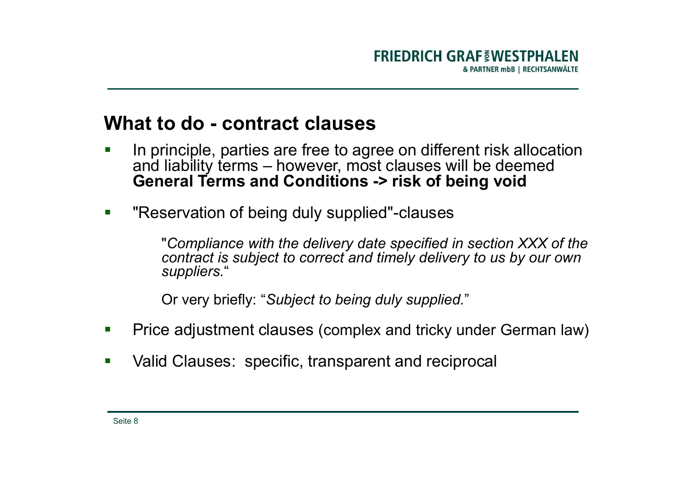- FRIEDRICH GRAF INDESTPHALE FRIEDRICH GRAF WESTPHALEN<br>
ARRIVER TO HALL ARRIVER TO BE ARRIVER TO BE A RECHISANWALTE<br>
In principle, parties are free to agree on different risk allocation<br>
and liability terms – however, most clauses will be deemed<br>
Gene FRIEDRICH GRAF<sub>S</sub>WESTPHALEN<br> **a particular starts – however, most clauses**<br>
In principle, parties are free to agree on different risk allocation<br>
and liability terms – however, most clauses will be deemed<br>
General Terms an FRIEDRICH GRAF EWESTPHALEN<br> **GENERAL CONDITIONS AND SURPER AND A PROPER THANGE THE CONDITION CONDUCT**<br>
In principle, parties are free to agree on different risk allocation<br>
and liability terms — however, most clauses will **What to do - contract clauses**<br>
In principle, parties are free to agree on different risk allocation<br>
and liability terms – however, most clauses will be deemed<br>
General Terms and Conditions -> risk of being void<br>
"Reserv
- **EXEC** "Reservation of being duly supplied"-clauses

"Compliance with the delivery date specified in section XXX of the contract is subject to correct and timely delivery to us by our own suppliers." and liability terms – however, most clauses will be deemed<br>and liability terms – however, most clauses will be deemed<br>**General Terms and Conditions -> risk of being void**<br>"Reservation of being duly supplied"-clauses<br>"Compl

Or very briefly: "Subject to being duly supplied."

- 
-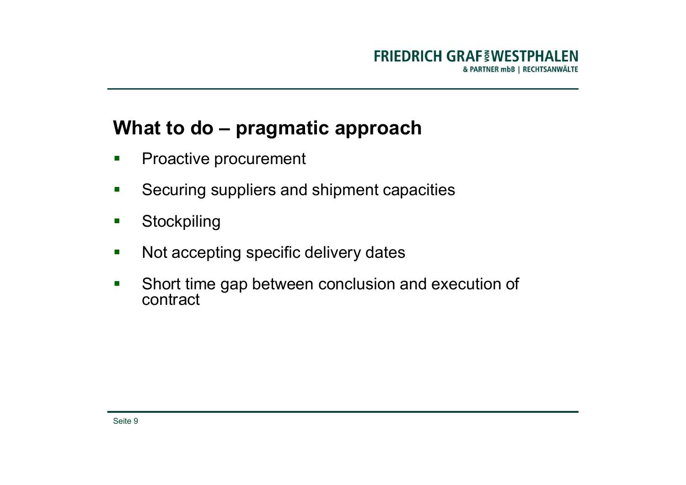# FRIEDRICH GRAF EWESTPHALEN FRIEDRICH GRAF<br>
What to do – pragmatic approach<br>
Proactive procurement<br>
Securing suppliers and shipment capacities FRIEDRICH GRAF VESTPHALEN<br>
What to do — pragmatic approach<br>
Proactive procurement<br>
Securing suppliers and shipment capacities<br>
Stockpiling

- 
- 
- **Stockpiling**
- 
- FRIEDRICH GRAF<sub>S</sub>WESTPHALEN<br>
What to do pragmatic approach<br>
Proactive procurement<br>
Securing suppliers and shipment capacities<br>
Mot accepting<br>
Not accepting specific delivery dates<br>
Mot accepting specific delivery dates<br> What to do – pragmatic approach<br>
• Proactive procurement<br>
• Securing suppliers and shipment capacities<br>
• Stockpiling<br>
• Not accepting specific delivery dates<br>
• Short time gap between conclusion and execution of<br>
contract contract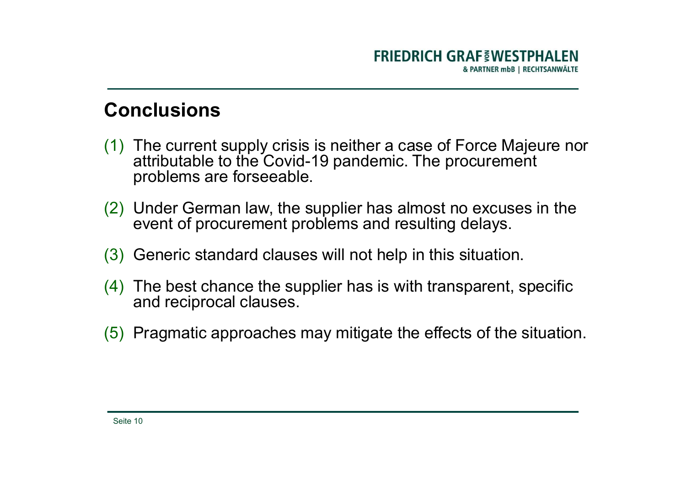# **Conclusions**

- FRIEDRICH GRAF INDESTPHALEN<br>
Conclusions<br>
(1) The current supply crisis is neither a case of Force Majeure nor<br>
attributable to the Covid-19 pandemic. The procurement<br>
problems are forseeable. FRIEDRICH GRAF INDESTPHALEN<br>
The current supply crisis is neither a case of Force Majeure nor<br>
attributable to the Covid-19 pandemic. The procurement<br>
Under German law, the supplier has almost no excuses in the FRIEDRICH GRAF<sup>EM</sup><br> **PRIEDRICH GRAFEM**<br> **PRIEDRICH GRAFEM**<br>
The current supply crisis is neither a case of Force<br>
attributable to the Covid-19 pandemic. The procure<br>
problems are forseeable.<br>
Under German law, the supplier **Conclusions**<br>
(1) The current supply crisis is neither a case of Force Majeure nor<br>
a ratibulatele to the Covid-19 pandemic. The procurement<br>
problems are forseeable.<br>
(2) Under German law, the supplier has almost no excu ERIEDRICH GRAF WESTPHALEN<br>
The current supply crisis is neither a case of Force Majeure nor<br>
attributable to the Covid-19 pandemic. The procurement<br>
problems are forseeable.<br>
Under German law, the supplier has almost no ex FRIEDRICH GRAF INTERTRIALEN<br>
Conclusions<br>
(1) The current supply crisis is neither a case of Force Majeure nor<br>
attributable to the Covid-19 pandemic. The procurement<br>
(2) Under German law, the supplier has almost no excus **Conclusions**<br>
(1) The current supply crisis is neither a case of Force Majeure nor<br>
attributable to the Covid-19 pandemic. The procurement<br>
problems are forseeable.<br>
(2) Under German law, the supplier has almost no excuse nclusions<br>The current supply crisis is neither a case of Force M<br>attributable to the Covid-19 pandemic. The procurer<br>problems are forseeable.<br>Under German law, the supplier has almost no excu<br>event of procurement problems (1) The current supply crisis is neither a case of Force Majeure nor<br>attributable to the Covid-19 pandemic. The procurement<br>problems are forseeable.<br>(2) Under German law, the supplier has almost no excuses in the<br>event of
- 
- 
- 
-